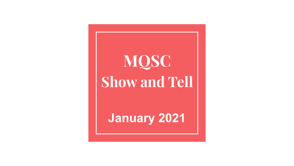### **MQSC** Show and Tell

January 2021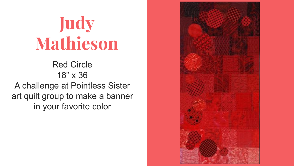## Judy Mathieson

Red Circle 18" x 36 A challenge at Pointless Sister art quilt group to make a banner in your favorite color

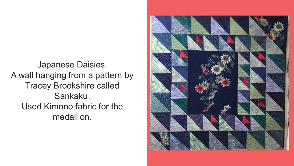Japanese Daisies. A wall hanging from a pattern by Tracey Brookshire called Sankaku. Used Kimono fabric for the medallion.

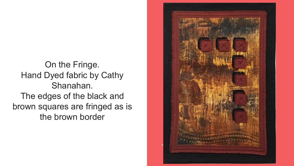On the Fringe. Hand Dyed fabric by Cathy Shanahan. The edges of the black and brown squares are fringed as is the brown border

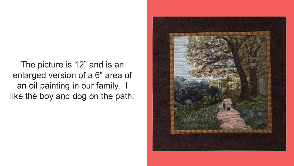The picture is 12" and is an enlarged version of a 6" area of an oil painting in our family. I like the boy and dog on the path.

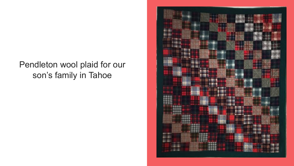#### Pendleton wool plaid for our son's family in Tahoe

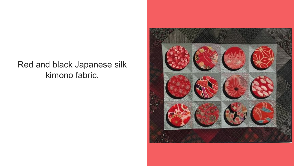#### Red and black Japanese silk kimono fabric.

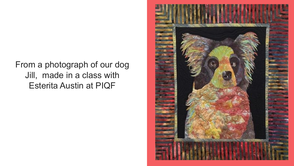From a photograph of our dog Jill, made in a class with Esterita Austin at PIQF

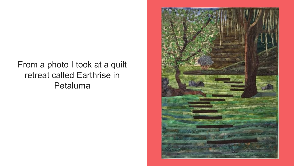From a photo I took at a quilt retreat called Earthrise in Petaluma

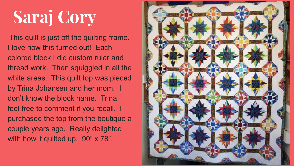# Saraj Cory

This quilt is just off the quilting frame. I love how this turned out! Each colored block I did custom ruler and thread work. Then squiggled in all the white areas. This quilt top was pieced by Trina Johansen and her mom. I don't know the block name. Trina, feel free to comment if you recall. I purchased the top from the boutique a couple years ago. Really delighted with how it quilted up. 90" x 78".

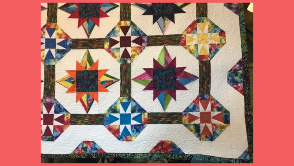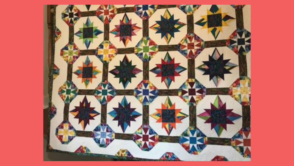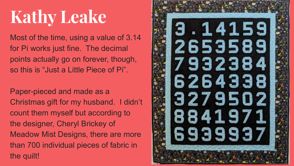# Kathy Leake

Most of the time, using a value of 3.14 for Pi works just fine. The decimal points actually go on forever, though, so this is "Just a Little Piece of Pi".

Paper-pieced and made as a Christmas gift for my husband. I didn't count them myself but according to the designer, Cheryl Brickey of Meadow Mist Designs, there are more than 700 individual pieces of fabric in the quilt!

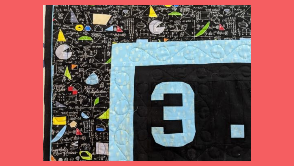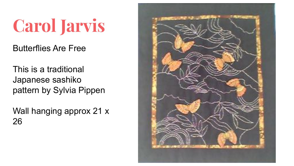Carol Jarvis

Butterflies Are Free

This is a traditional Japanese sashiko pattern by Sylvia Pippen

Wall hanging approx 21 x 26

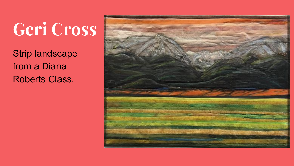### Geri Cross

Strip landscape from a Diana Roberts Class.

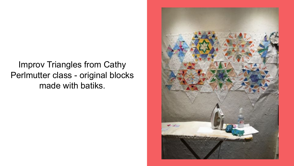Improv Triangles from Cathy Perlmutter class - original blocks made with batiks.

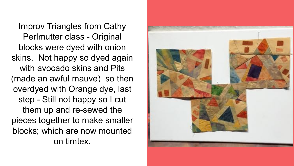Improv Triangles from Cathy Perlmutter class - Original blocks were dyed with onion skins. Not happy so dyed again with avocado skins and Pits (made an awful mauve) so then overdyed with Orange dye, last step - Still not happy so I cut them up and re-sewed the pieces together to make smaller blocks; which are now mounted on timtex.

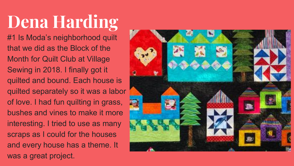Dena Harding #1 Is Moda's neighborhood quilt that we did as the Block of the Month for Quilt Club at Village Sewing in 2018. I finally got it quilted and bound. Each house is quilted separately so it was a labor of love. I had fun quilting in grass, bushes and vines to make it more interesting. I tried to use as many scraps as I could for the houses and every house has a theme. It was a great project.

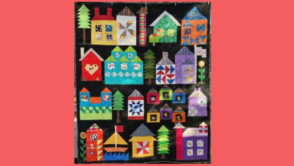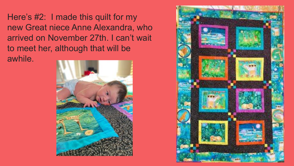Here's #2: I made this quilt for my new Great niece Anne Alexandra, who arrived on November 27th. I can't wait to meet her, although that will be awhile.